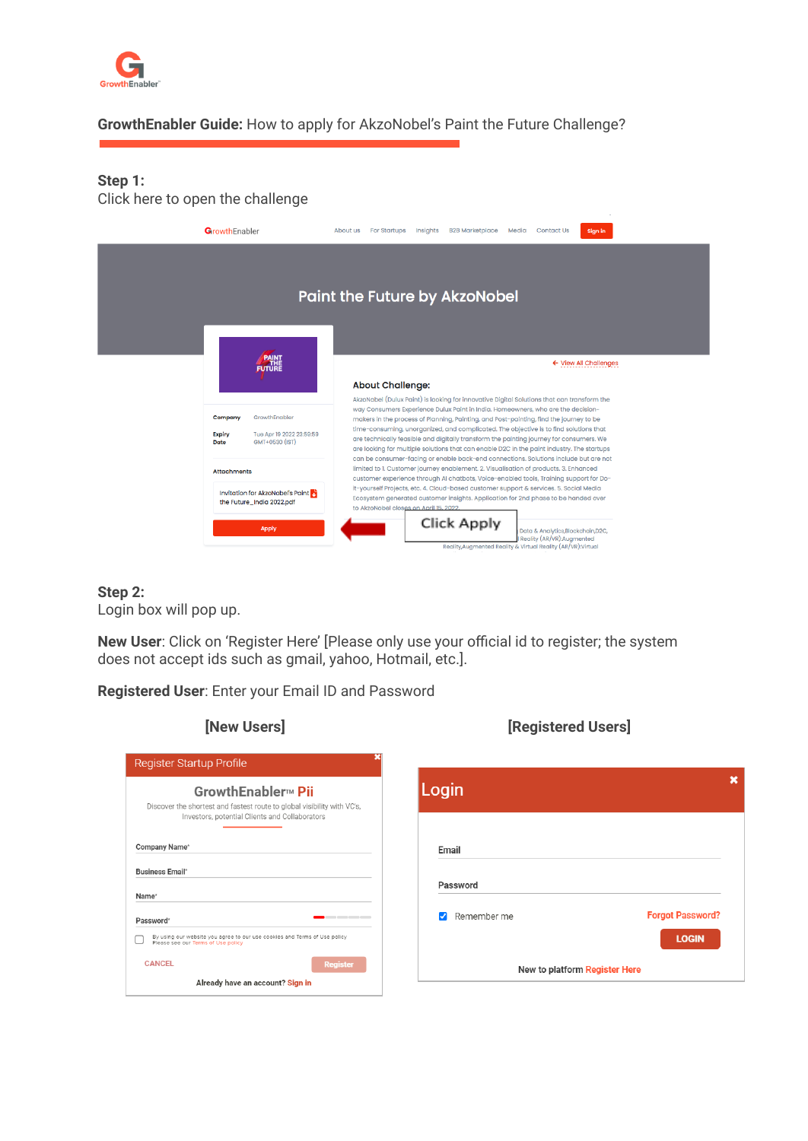

### **GrowthEnabler Guide:** How to apply for AkzoNobel's Paint the Future Challenge?

#### **Step 1:** Click here to open the challenge

| GrowthEnabler                                                                                   | About us<br><b>For Startups</b><br>Insights<br><b>B2B Marketplace</b><br>Media<br><b>Contact Us</b><br>Sign in                                                                                                                                                                                                                                                                                                                                                                                                                                             |
|-------------------------------------------------------------------------------------------------|------------------------------------------------------------------------------------------------------------------------------------------------------------------------------------------------------------------------------------------------------------------------------------------------------------------------------------------------------------------------------------------------------------------------------------------------------------------------------------------------------------------------------------------------------------|
|                                                                                                 | <b>Paint the Future by AkzoNobel</b>                                                                                                                                                                                                                                                                                                                                                                                                                                                                                                                       |
| <b>PAINT</b><br><b>FUTURE</b>                                                                   | $\leftarrow$ View All Challenges<br><b>About Challenge:</b>                                                                                                                                                                                                                                                                                                                                                                                                                                                                                                |
| GrowthEnabler<br>Company<br>Tue Apr 19 2022 23:59:59<br><b>Expiry</b><br>GMT+0530 (IST)<br>Date | AkzoNobel (Dulux Paint) is looking for innovative Digital Solutions that can transform the<br>way Consumers Experience Dulux Paint in India. Homeowners, who are the decision-<br>makers in the process of Planning, Painting, and Post-painting, find the journey to be<br>time-consuming, unorganized, and complicated. The objective is to find solutions that<br>are technically feasible and digitally transform the painting journey for consumers. We<br>are looking for multiple solutions that can enable D2C in the paint industry. The startups |
| <b>Attachments</b><br>Invitation for AkzoNobel's Paint<br>the Future_India 2022.pdf             | can be consumer-facing or enable back-end connections. Solutions include but are not<br>limited to 1. Customer journey enablement. 2. Visualisation of products. 3. Enhanced<br>customer experience through AI chatbots, Voice-enabled tools, Training support for Do-<br>it-yourself Projects, etc. 4. Cloud-based customer support & services. 5. Social Media<br>Ecosystem generated customer insights. Application for 2nd phase to be handed over<br>to AkzoNobel closes on April 15, 2022.                                                           |
| <b>Apply</b>                                                                                    | Click Apply<br>Data & Analytics, Blockchain, D2C,<br>Reality (AR/VR):Augmented<br>Reality, Augmented Reality & Virtual Reality (AR/VR): Virtual                                                                                                                                                                                                                                                                                                                                                                                                            |

#### **Step 2:**

Login box will pop up.

**New User**: Click on 'Register Here' [Please only use your official id to register; the system does not accept ids such as gmail, yahoo, Hotmail, etc.].

**Registered User**: Enter your Email ID and Password

|                                                  | GrowthEnabler <sub>™</sub> Pii                                                                                       |
|--------------------------------------------------|----------------------------------------------------------------------------------------------------------------------|
|                                                  | Discover the shortest and fastest route to global visibility with VC's,                                              |
|                                                  | Investors, potential Clients and Collaborators                                                                       |
|                                                  |                                                                                                                      |
|                                                  |                                                                                                                      |
|                                                  |                                                                                                                      |
| Company Name*<br><b>Business Email*</b><br>Name* |                                                                                                                      |
| Password*                                        |                                                                                                                      |
|                                                  | .<br>By using our website you agree to our use cookies and Terms of Use policy<br>Please see our Terms of Use policy |

## **[New Users] [Registered Users]**

| Login |                               |                         |
|-------|-------------------------------|-------------------------|
| Email |                               |                         |
|       | Password                      |                         |
|       | Remember me                   | <b>Forgot Password?</b> |
|       |                               | <b>LOGIN</b>            |
|       | New to platform Register Here |                         |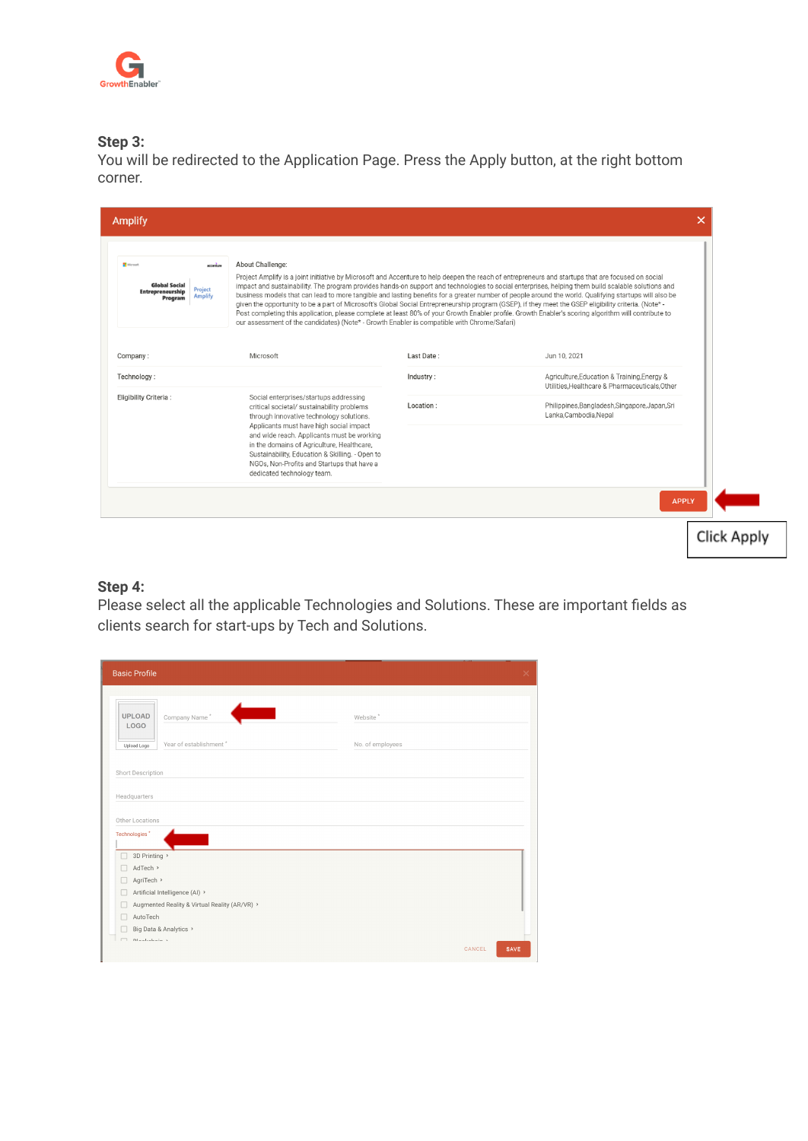

#### **Step 3:**

You will be redirected to the Application Page. Press the Apply button, at the right bottom corner.

| Microsoft<br>Last Date:<br>Company:<br>Jun 10, 2021<br>Agriculture, Education & Training, Energy &<br>Industry:<br>Utilities.Healthcare & Pharmaceuticals.Other<br>Social enterprises/startups addressing<br>Philippines, Bangladesh, Singapore, Japan, Sri<br>Location:<br>critical societal/ sustainability problems<br>Lanka, Cambodia, Nepal<br>through innovative technology solutions.<br>Applicants must have high social impact<br>and wide reach. Applicants must be working<br>in the domains of Agriculture, Healthcare, |  |                                                 |  |
|-------------------------------------------------------------------------------------------------------------------------------------------------------------------------------------------------------------------------------------------------------------------------------------------------------------------------------------------------------------------------------------------------------------------------------------------------------------------------------------------------------------------------------------|--|-------------------------------------------------|--|
| Technology:<br>Eligibility Criteria:                                                                                                                                                                                                                                                                                                                                                                                                                                                                                                |  |                                                 |  |
|                                                                                                                                                                                                                                                                                                                                                                                                                                                                                                                                     |  |                                                 |  |
| NGOs, Non-Profits and Startups that have a<br>dedicated technology team.                                                                                                                                                                                                                                                                                                                                                                                                                                                            |  | Sustainability, Education & Skilling. - Open to |  |

### **Step 4:**

Please select all the applicable Technologies and Solutions. These are important fields as clients search for start-ups by Tech and Solutions.

| <b>Basic Profile</b>                             |                                                                                 |                  | $\times$       |
|--------------------------------------------------|---------------------------------------------------------------------------------|------------------|----------------|
|                                                  |                                                                                 |                  |                |
| <b>UPLOAD</b><br><b>LOGO</b>                     | Company Name*                                                                   | Website*         |                |
| Upload Logo                                      | Year of establishment*                                                          | No. of employees |                |
| Headquarters<br>Other Locations<br>Technologies* |                                                                                 |                  |                |
| 3D Printing ><br>AdTech ><br>AgriTech >          | Artificial Intelligence (AI) ><br>Augmented Reality & Virtual Reality (AR/VR) > |                  |                |
| AutoTech                                         | Big Data & Analytics >                                                          |                  |                |
| Dlaskahain v<br>$\Box$                           |                                                                                 |                  | CANCEL<br>SAVE |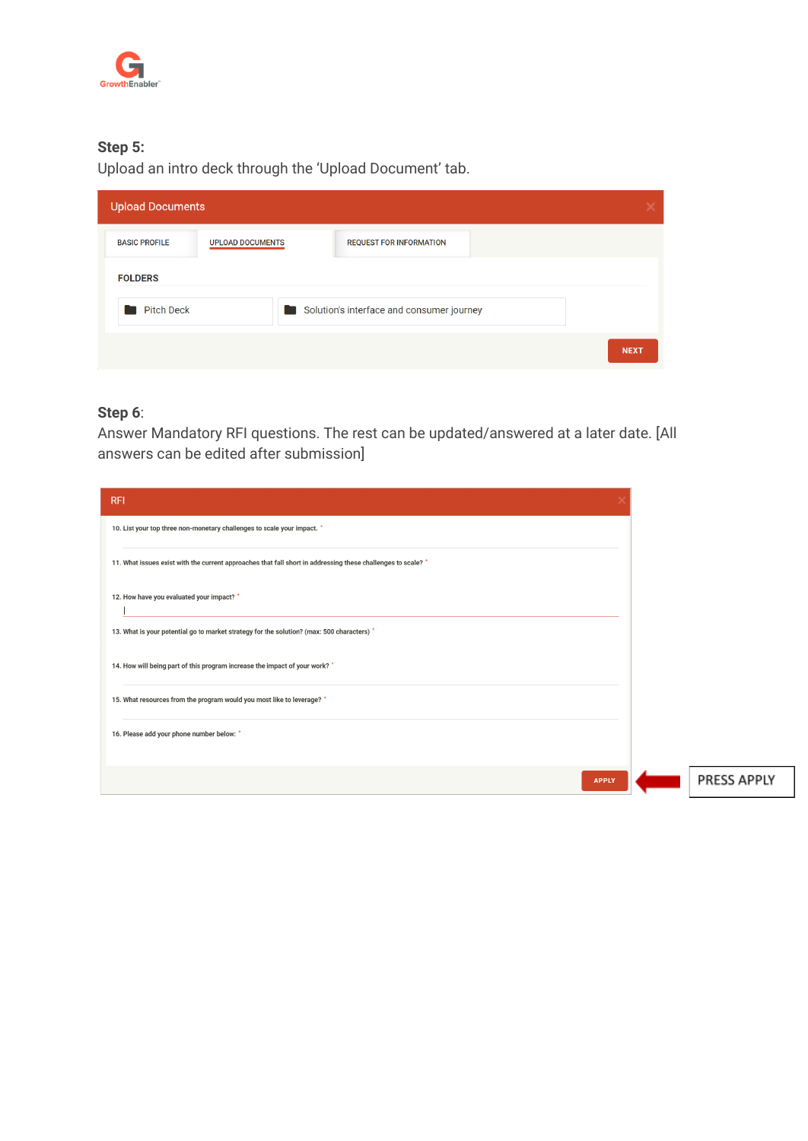

# **Step 5:**

Upload an intro deck through the 'Upload Document' tab.

| <b>Upload Documents</b>            |                         | x                                         |  |
|------------------------------------|-------------------------|-------------------------------------------|--|
| <b>BASIC PROFILE</b>               | <b>UPLOAD DOCUMENTS</b> | <b>REQUEST FOR INFORMATION</b>            |  |
| <b>FOLDERS</b>                     |                         |                                           |  |
| <b>Pitch Deck</b><br>$\mathcal{L}$ |                         | Solution's interface and consumer journey |  |
|                                    |                         | <b>NEXT</b>                               |  |

# **Step 6**:

Answer Mandatory RFI questions. The rest can be updated/answered at a later date. [All answers can be edited after submission]

| <b>RFI</b>                                                                                                   |  |
|--------------------------------------------------------------------------------------------------------------|--|
| 10. List your top three non-monetary challenges to scale your impact. *                                      |  |
| 11. What issues exist with the current approaches that fall short in addressing these challenges to scale? * |  |
| 12. How have you evaluated your impact? *                                                                    |  |
| 13. What is your potential go to market strategy for the solution? (max: 500 characters) *                   |  |
| 14. How will being part of this program increase the impact of your work? *                                  |  |
| 15. What resources from the program would you most like to leverage? *                                       |  |
| 16. Please add your phone number below: *                                                                    |  |
|                                                                                                              |  |
| <b>APPLY</b>                                                                                                 |  |